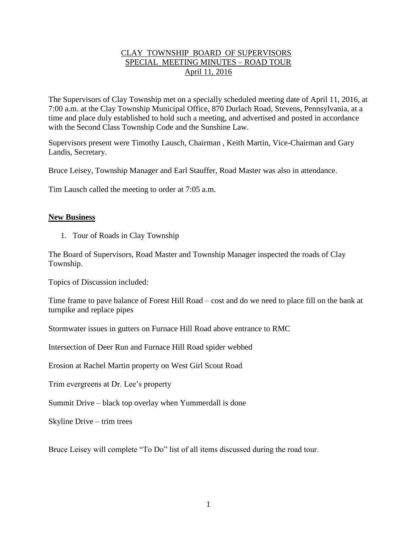# CLAY TOWNSHIP BOARD OF SUPERVISORS SPECIAL MEETING MINUTES – ROAD TOUR April 11, 2016

The Supervisors of Clay Township met on a specially scheduled meeting date of April 11, 2016, at 7:00 a.m. at the Clay Township Municipal Office, 870 Durlach Road, Stevens, Pennsylvania, at a time and place duly established to hold such a meeting, and advertised and posted in accordance with the Second Class Township Code and the Sunshine Law.

Supervisors present were Timothy Lausch, Chairman , Keith Martin, Vice-Chairman and Gary Landis, Secretary.

Bruce Leisey, Township Manager and Earl Stauffer, Road Master was also in attendance.

Tim Lausch called the meeting to order at 7:05 a.m.

#### **New Business**

1. Tour of Roads in Clay Township

The Board of Supervisors, Road Master and Township Manager inspected the roads of Clay Township.

Topics of Discussion included:

Time frame to pave balance of Forest Hill Road – cost and do we need to place fill on the bank at turnpike and replace pipes

Stormwater issues in gutters on Furnace Hill Road above entrance to RMC

Intersection of Deer Run and Furnace Hill Road spider webbed

Erosion at Rachel Martin property on West Girl Scout Road

Trim evergreens at Dr. Lee's property

Summit Drive – black top overlay when Yummerdall is done

Skyline Drive – trim trees

Bruce Leisey will complete "To Do" list of all items discussed during the road tour.